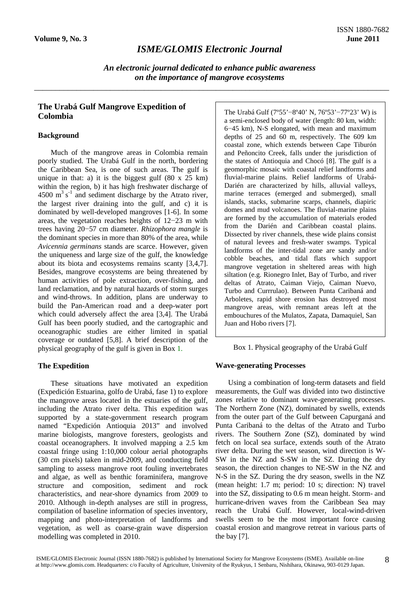# *ISME/GLOMIS Electronic Journal*

*An electronic journal dedicated to enhance public awareness on the importance of mangrove ecosystems*

\_\_\_\_\_\_\_\_\_\_\_\_\_\_\_\_\_\_\_\_\_\_\_\_\_\_\_\_\_\_\_\_\_\_\_\_\_\_\_\_\_\_\_\_\_\_\_\_\_\_\_\_\_\_\_\_\_\_\_\_\_\_\_\_\_\_\_\_\_\_\_\_\_\_\_\_\_\_\_\_\_\_\_\_

## **The Urabá Gulf Mangrove Expedition of Colombia**

## **Background**

Much of the mangrove areas in Colombia remain poorly studied. The Urabá Gulf in the north, bordering the Caribbean Sea, is one of such areas. The gulf is unique in that: a) it is the biggest gulf  $(80 \times 25 \text{ km})$ within the region, b) it has high freshwater discharge of  $4500 \text{ m}^3 \text{ s}^{-1}$  and sediment discharge by the Atrato river, the largest river draining into the gulf, and c) it is dominated by well-developed mangroves [1-6]. In some areas, the vegetation reaches heights of 12−23 m with trees having 20−57 cm diameter. *Rhizophora mangle* is the dominant species in more than 80% of the area, while *Avicennia germinans* stands are scarce. However, given the uniqueness and large size of the gulf, the knowledge about its biota and ecosystems remains scanty [3,4,7]. Besides, mangrove ecosystems are being threatened by human activities of pole extraction, over-fishing, and land reclamation, and by natural hazards of storm surges and wind-throws. In addition, plans are underway to build the Pan-American road and a deep-water port which could adversely affect the area [3,4]. The Urabá Gulf has been poorly studied, and the cartographic and oceanographic studies are either limited in spatial coverage or outdated [5,8]. A brief description of the physical geography of the gulf is given in Box 1.

## **The Expedition**

These situations have motivated an expedition (Expedición Estuarina, golfo de Urabá, fase 1) to explore the mangrove areas located in the estuaries of the gulf, including the Atrato river delta. This expedition was supported by a state-government research program named "Expedición Antioquia 2013" and involved marine biologists, mangrove foresters, geologists and coastal oceanographers. It involved mapping a 2.5 km coastal fringe using 1:10,000 colour aerial photographs (30 cm pixels) taken in mid-2009, and conducting field sampling to assess mangrove root fouling invertebrates and algae, as well as benthic foraminifera, mangrove structure and composition, sediment and rock characteristics, and near-shore dynamics from 2009 to 2010. Although in-depth analyses are still in progress, compilation of baseline information of species inventory, mapping and photo-interpretation of landforms and vegetation, as well as coarse-grain wave dispersion modelling was completed in 2010.

The Urabá Gulf (7º55'−8º40' N, 76º53'−77º23' W) is a semi-enclosed body of water (length: 80 km, width: 6−45 km), N-S elongated, with mean and maximum depths of 25 and 60 m, respectively. The 609 km coastal zone, which extends between Cape Tiburón and Peñoncito Creek, falls under the jurisdiction of the states of Antioquia and Chocó [8]. The gulf is a geomorphic mosaic with coastal relief landforms and fluvial-marine plains. Relief landforms of Urabá-Darién are characterized by hills, alluvial valleys, marine terraces (emerged and submerged), small islands, stacks, submarine scarps, channels, diapiric domes and mud volcanoes. The fluvial-marine plains are formed by the accumulation of materials eroded from the Darién and Caribbean coastal plains. Dissected by river channels, these wide plains consist of natural levees and fresh-water swamps. Typical landforms of the inter-tidal zone are sandy and/or cobble beaches, and tidal flats which support mangrove vegetation in sheltered areas with high siltation (e.g. Rionegro Inlet, Bay of Turbo, and river deltas of Atrato, Caiman Viejo, Caiman Nuevo, Turbo and Currrulao). Between Punta Caribaná and Arboletes, rapid shore erosion has destroyed most mangrove areas, with remnant areas left at the embouchures of the Mulatos, Zapata, Damaquiel, San Juan and Hobo rivers [7].

Box 1. Physical geography of the Urabá Gulf

### **Wave-generating Processes**

Using a combination of long-term datasets and field measurements, the Gulf was divided into two distinctive zones relative to dominant wave-generating processes. The Northern Zone (NZ), dominated by swells, extends from the outer part of the Gulf between Capurganá and Punta Caribaná to the deltas of the Atrato and Turbo rivers. The Southern Zone (SZ), dominated by wind fetch on local sea surface, extends south of the Atrato river delta. During the wet season, wind direction is W-SW in the NZ and S-SW in the SZ. During the dry season, the direction changes to NE-SW in the NZ and N-S in the SZ. During the dry season, swells in the NZ (mean height: 1.7 m; period: 10 s; direction: N) travel into the SZ, dissipating to 0.6 m mean height. Storm- and hurricane-driven waves from the Caribbean Sea may reach the Urabá Gulf. However, local-wind-driven swells seem to be the most important force causing coastal erosion and mangrove retreat in various parts of the bay [7].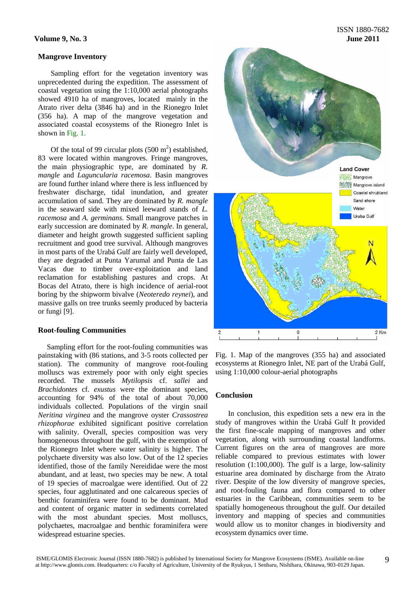#### **Mangrove Inventory**

Sampling effort for the vegetation inventory was unprecedented during the expedition. The assessment of coastal vegetation using the 1:10,000 aerial photographs showed 4910 ha of mangroves, located mainly in the Atrato river delta (3846 ha) and in the Rionegro Inlet (356 ha). A map of the mangrove vegetation and associated coastal ecosystems of the Rionegro Inlet is shown in Fig. 1.

Of the total of 99 circular plots  $(500 \text{ m}^2)$  established, 83 were located within mangroves. Fringe mangroves, the main physiographic type, are dominated by *R. mangle* and *Laguncularia racemosa*. Basin mangroves are found further inland where there is less influenced by freshwater discharge, tidal inundation, and greater accumulation of sand. They are dominated by *R. mangle* in the seaward side with mixed leeward stands of *L. racemosa* and *A. germinans*. Small mangrove patches in early succession are dominated by *R. mangle*. In general, diameter and height growth suggested sufficient sapling recruitment and good tree survival. Although mangroves in most parts of the Urabá Gulf are fairly well developed, they are degraded at Punta Yarumal and Punta de Las Vacas due to timber over-exploitation and land reclamation for establishing pastures and crops. At Bocas del Atrato, there is high incidence of aerial-root boring by the shipworm bivalve (*Neoteredo reynei*), and massive galls on tree trunks seemly produced by bacteria or fungi [9].

#### **Root-fouling Communities**

Sampling effort for the root-fouling communities was painstaking with (86 stations, and 3-5 roots collected per station). The community of mangrove root-fouling molluscs was extremely poor with only eight species recorded. The mussels *Mytilopsis* cf. *sallei* and *Brachidontes* cf. *exustus* were the dominant species, accounting for 94% of the total of about 70,000 individuals collected. Populations of the virgin snail *Neritina virginea* and the mangrove oyster *Crassostrea rhizophorae* exhibited significant positive correlation with salinity. Overall, species composition was very homogeneous throughout the gulf, with the exemption of the Rionegro Inlet where water salinity is higher. The polychaete diversity was also low. Out of the 12 species identified, those of the family Nereididae were the most abundant, and at least, two species may be new. A total of 19 species of macroalgae were identified. Out of 22 species, four agglutinated and one calcareous species of benthic foraminifera were found to be dominant. Mud and content of organic matter in sediments correlated with the most abundant species. Most molluscs, polychaetes, macroalgae and benthic foraminifera were widespread estuarine species.



Fig. 1. Map of the mangroves (355 ha) and associated ecosystems at Rionegro Inlet, NE part of the Urabá Gulf, using 1:10,000 colour-aerial photographs

## **Conclusion**

In conclusion, this expedition sets a new era in the study of mangroves within the Urabá Gulf It provided the first fine-scale mapping of mangroves and other vegetation, along with surrounding coastal landforms. Current figures on the area of mangroves are more reliable compared to previous estimates with lower resolution (1:100,000). The gulf is a large, low-salinity estuarine area dominated by discharge from the Atrato river. Despite of the low diversity of mangrove species, and root-fouling fauna and flora compared to other estuaries in the Caribbean, communities seem to be spatially homogeneous throughout the gulf. Our detailed inventory and mapping of species and communities would allow us to monitor changes in biodiversity and ecosystem dynamics over time.

9